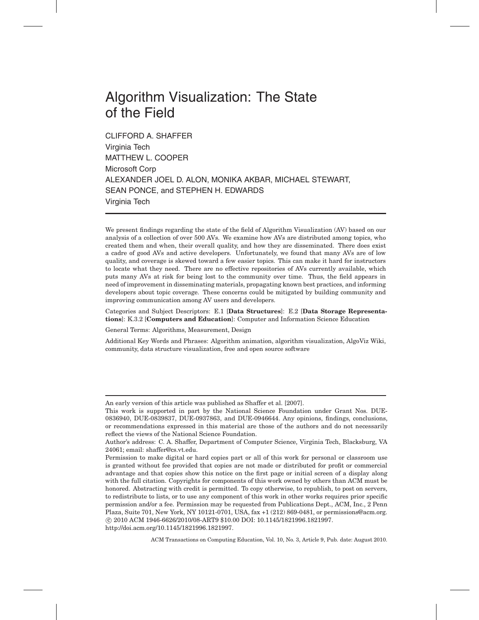# Algorithm Visualization: The State of the Field

CLIFFORD A. SHAFFER Virginia Tech MATTHEW L. COOPER Microsoft Corp ALEXANDER JOEL D. ALON, MONIKA AKBAR, MICHAEL STEWART, SEAN PONCE, and STEPHEN H. EDWARDS Virginia Tech

We present findings regarding the state of the field of Algorithm Visualization (AV) based on our analysis of a collection of over 500 AVs. We examine how AVs are distributed among topics, who created them and when, their overall quality, and how they are disseminated. There does exist a cadre of good AVs and active developers. Unfortunately, we found that many AVs are of low quality, and coverage is skewed toward a few easier topics. This can make it hard for instructors to locate what they need. There are no effective repositories of AVs currently available, which puts many AVs at risk for being lost to the community over time. Thus, the field appears in need of improvement in disseminating materials, propagating known best practices, and informing developers about topic coverage. These concerns could be mitigated by building community and improving communication among AV users and developers.

Categories and Subject Descriptors: E.1 [**Data Structures**]: E.2 [**Data Storage Representations**]: K.3.2 [**Computers and Education**]: Computer and Information Science Education

General Terms: Algorithms, Measurement, Design

Additional Key Words and Phrases: Algorithm animation, algorithm visualization, AlgoViz Wiki, community, data structure visualization, free and open source software

An early version of this article was published as Shaffer et al. [2007].

This work is supported in part by the National Science Foundation under Grant Nos. DUE-0836940, DUE-0839837, DUE-0937863, and DUE-0946644. Any opinions, findings, conclusions, or recommendations expressed in this material are those of the authors and do not necessarily reflect the views of the National Science Foundation.

Author's address: C. A. Shaffer, Department of Computer Science, Virginia Tech, Blacksburg, VA 24061; email: shaffer@cs.vt.edu.

Permission to make digital or hard copies part or all of this work for personal or classroom use is granted without fee provided that copies are not made or distributed for profit or commercial advantage and that copies show this notice on the first page or initial screen of a display along with the full citation. Copyrights for components of this work owned by others than ACM must be honored. Abstracting with credit is permitted. To copy otherwise, to republish, to post on servers, to redistribute to lists, or to use any component of this work in other works requires prior specific permission and/or a fee. Permission may be requested from Publications Dept., ACM, Inc., 2 Penn Plaza, Suite 701, New York, NY 10121-0701, USA, fax +1 (212) 869-0481, or permissions@acm.org. -c 2010 ACM 1946-6626/2010/08-ART9 \$10.00 DOI: 10.1145/1821996.1821997. http://doi.acm.org/10.1145/1821996.1821997.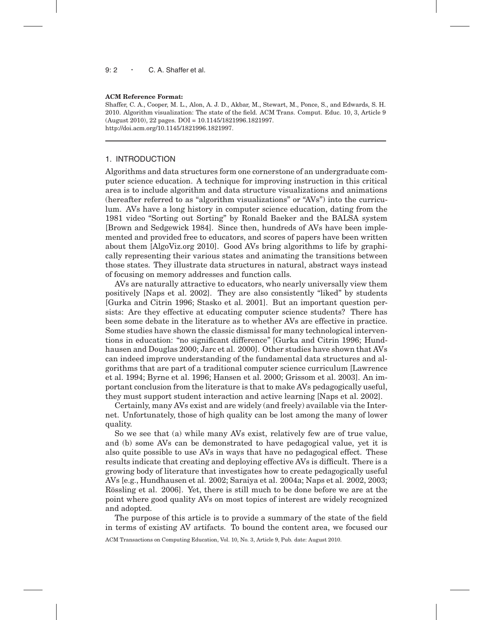## 9: 2 · C. A. Shaffer et al.

#### **ACM Reference Format:**

Shaffer, C. A., Cooper, M. L., Alon, A. J. D., Akbar, M., Stewart, M., Ponce, S., and Edwards, S. H. 2010. Algorithm visualization: The state of the field. ACM Trans. Comput. Educ. 10, 3, Article 9 (August 2010), 22 pages. DOI = 10.1145/1821996.1821997. http://doi.acm.org/10.1145/1821996.1821997.

## 1. INTRODUCTION

Algorithms and data structures form one cornerstone of an undergraduate computer science education. A technique for improving instruction in this critical area is to include algorithm and data structure visualizations and animations (hereafter referred to as "algorithm visualizations" or "AVs") into the curriculum. AVs have a long history in computer science education, dating from the 1981 video "Sorting out Sorting" by Ronald Baeker and the BALSA system [Brown and Sedgewick 1984]. Since then, hundreds of AVs have been implemented and provided free to educators, and scores of papers have been written about them [AlgoViz.org 2010]. Good AVs bring algorithms to life by graphically representing their various states and animating the transitions between those states. They illustrate data structures in natural, abstract ways instead of focusing on memory addresses and function calls.

AVs are naturally attractive to educators, who nearly universally view them positively [Naps et al. 2002]. They are also consistently "liked" by students [Gurka and Citrin 1996; Stasko et al. 2001]. But an important question persists: Are they effective at educating computer science students? There has been some debate in the literature as to whether AVs are effective in practice. Some studies have shown the classic dismissal for many technological interventions in education: "no significant difference" [Gurka and Citrin 1996; Hundhausen and Douglas 2000; Jarc et al. 2000]. Other studies have shown that AVs can indeed improve understanding of the fundamental data structures and algorithms that are part of a traditional computer science curriculum [Lawrence et al. 1994; Byrne et al. 1996; Hansen et al. 2000; Grissom et al. 2003]. An important conclusion from the literature is that to make AVs pedagogically useful, they must support student interaction and active learning [Naps et al. 2002].

Certainly, many AVs exist and are widely (and freely) available via the Internet. Unfortunately, those of high quality can be lost among the many of lower quality.

So we see that (a) while many AVs exist, relatively few are of true value, and (b) some AVs can be demonstrated to have pedagogical value, yet it is also quite possible to use AVs in ways that have no pedagogical effect. These results indicate that creating and deploying effective AVs is difficult. There is a growing body of literature that investigates how to create pedagogically useful AVs [e.g., Hundhausen et al. 2002; Saraiya et al. 2004a; Naps et al. 2002, 2003; Rössling et al. 2006]. Yet, there is still much to be done before we are at the point where good quality AVs on most topics of interest are widely recognized and adopted.

The purpose of this article is to provide a summary of the state of the field in terms of existing AV artifacts. To bound the content area, we focused our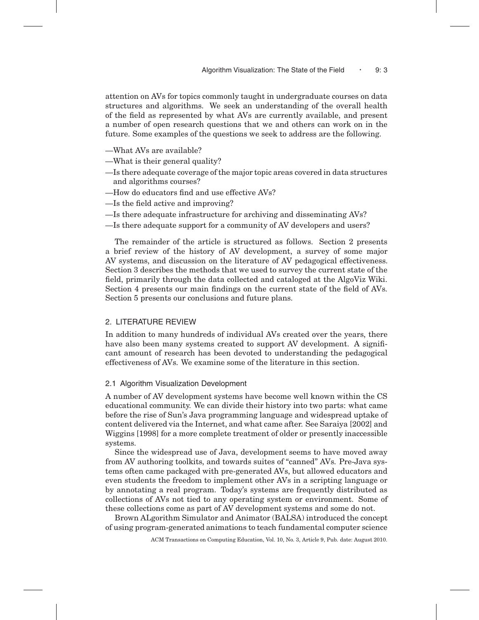attention on AVs for topics commonly taught in undergraduate courses on data structures and algorithms. We seek an understanding of the overall health of the field as represented by what AVs are currently available, and present a number of open research questions that we and others can work on in the future. Some examples of the questions we seek to address are the following.

- —What AVs are available?
- —What is their general quality?
- —Is there adequate coverage of the major topic areas covered in data structures and algorithms courses?
- —How do educators find and use effective AVs?
- —Is the field active and improving?
- —Is there adequate infrastructure for archiving and disseminating AVs?
- —Is there adequate support for a community of AV developers and users?

The remainder of the article is structured as follows. Section 2 presents a brief review of the history of AV development, a survey of some major AV systems, and discussion on the literature of AV pedagogical effectiveness. Section 3 describes the methods that we used to survey the current state of the field, primarily through the data collected and cataloged at the AlgoViz Wiki. Section 4 presents our main findings on the current state of the field of AVs. Section 5 presents our conclusions and future plans.

## 2. LITERATURE REVIEW

In addition to many hundreds of individual AVs created over the years, there have also been many systems created to support AV development. A significant amount of research has been devoted to understanding the pedagogical effectiveness of AVs. We examine some of the literature in this section.

## 2.1 Algorithm Visualization Development

A number of AV development systems have become well known within the CS educational community. We can divide their history into two parts: what came before the rise of Sun's Java programming language and widespread uptake of content delivered via the Internet, and what came after. See Saraiya [2002] and Wiggins [1998] for a more complete treatment of older or presently inaccessible systems.

Since the widespread use of Java, development seems to have moved away from AV authoring toolkits, and towards suites of "canned" AVs. Pre-Java systems often came packaged with pre-generated AVs, but allowed educators and even students the freedom to implement other AVs in a scripting language or by annotating a real program. Today's systems are frequently distributed as collections of AVs not tied to any operating system or environment. Some of these collections come as part of AV development systems and some do not.

Brown ALgorithm Simulator and Animator (BALSA) introduced the concept of using program-generated animations to teach fundamental computer science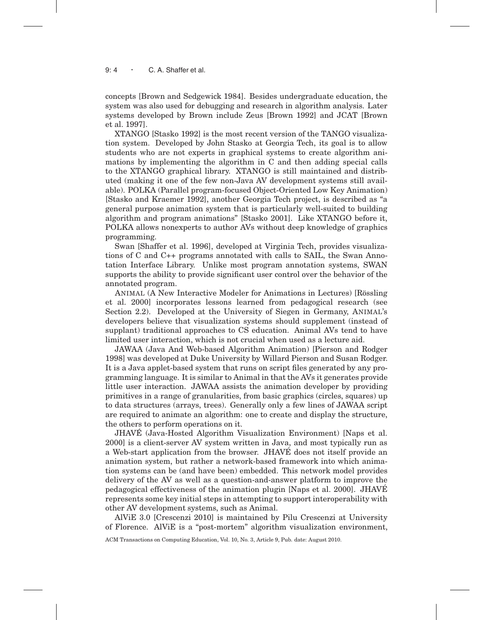## 9: 4 · C. A. Shaffer et al.

concepts [Brown and Sedgewick 1984]. Besides undergraduate education, the system was also used for debugging and research in algorithm analysis. Later systems developed by Brown include Zeus [Brown 1992] and JCAT [Brown et al. 1997].

XTANGO [Stasko 1992] is the most recent version of the TANGO visualization system. Developed by John Stasko at Georgia Tech, its goal is to allow students who are not experts in graphical systems to create algorithm animations by implementing the algorithm in C and then adding special calls to the XTANGO graphical library. XTANGO is still maintained and distributed (making it one of the few non-Java AV development systems still available). POLKA (Parallel program-focused Object-Oriented Low Key Animation) [Stasko and Kraemer 1992], another Georgia Tech project, is described as "a general purpose animation system that is particularly well-suited to building algorithm and program animations" [Stasko 2001]. Like XTANGO before it, POLKA allows nonexperts to author AVs without deep knowledge of graphics programming.

Swan [Shaffer et al. 1996], developed at Virginia Tech, provides visualizations of C and C++ programs annotated with calls to SAIL, the Swan Annotation Interface Library. Unlike most program annotation systems, SWAN supports the ability to provide significant user control over the behavior of the annotated program.

ANIMAL (A New Interactive Modeler for Animations in Lectures) [Rössling et al. 2000] incorporates lessons learned from pedagogical research (see Section 2.2). Developed at the University of Siegen in Germany, ANIMAL's developers believe that visualization systems should supplement (instead of supplant) traditional approaches to CS education. Animal AVs tend to have limited user interaction, which is not crucial when used as a lecture aid.

JAWAA (Java And Web-based Algorithm Animation) [Pierson and Rodger 1998] was developed at Duke University by Willard Pierson and Susan Rodger. It is a Java applet-based system that runs on script files generated by any programming language. It is similar to Animal in that the AVs it generates provide little user interaction. JAWAA assists the animation developer by providing primitives in a range of granularities, from basic graphics (circles, squares) up to data structures (arrays, trees). Generally only a few lines of JAWAA script are required to animate an algorithm: one to create and display the structure, the others to perform operations on it.

JHAVE (Java-Hosted Algorithm Visualization Environment) [Naps et al. ´ 2000] is a client-server AV system written in Java, and most typically run as a Web-start application from the browser. JHAVE does not itself provide an ´ animation system, but rather a network-based framework into which animation systems can be (and have been) embedded. This network model provides delivery of the AV as well as a question-and-answer platform to improve the pedagogical effectiveness of the animation plugin [Naps et al. 2000]. JHAVE´ represents some key initial steps in attempting to support interoperability with other AV development systems, such as Animal.

AlViE 3.0 [Crescenzi 2010] is maintained by Pilu Crescenzi at University of Florence. AlViE is a "post-mortem" algorithm visualization environment,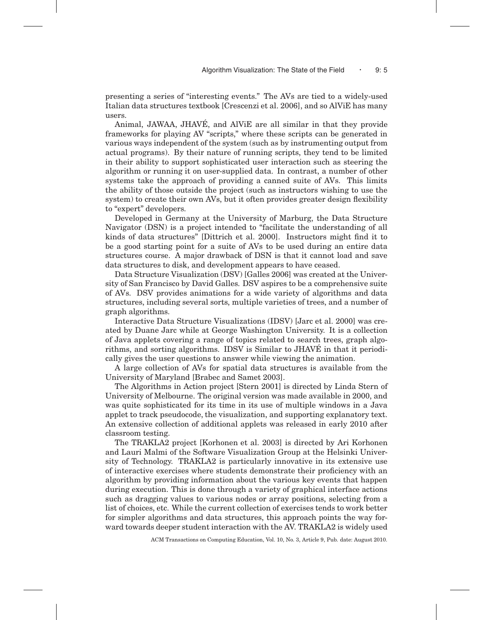presenting a series of "interesting events." The AVs are tied to a widely-used Italian data structures textbook [Crescenzi et al. 2006], and so AlViE has many users.

Animal, JAWAA, JHAVE, and AlViE are all similar in that they provide ´ frameworks for playing AV "scripts," where these scripts can be generated in various ways independent of the system (such as by instrumenting output from actual programs). By their nature of running scripts, they tend to be limited in their ability to support sophisticated user interaction such as steering the algorithm or running it on user-supplied data. In contrast, a number of other systems take the approach of providing a canned suite of AVs. This limits the ability of those outside the project (such as instructors wishing to use the system) to create their own AVs, but it often provides greater design flexibility to "expert" developers.

Developed in Germany at the University of Marburg, the Data Structure Navigator (DSN) is a project intended to "facilitate the understanding of all kinds of data structures" [Dittrich et al. 2000]. Instructors might find it to be a good starting point for a suite of AVs to be used during an entire data structures course. A major drawback of DSN is that it cannot load and save data structures to disk, and development appears to have ceased.

Data Structure Visualization (DSV) [Galles 2006] was created at the University of San Francisco by David Galles. DSV aspires to be a comprehensive suite of AVs. DSV provides animations for a wide variety of algorithms and data structures, including several sorts, multiple varieties of trees, and a number of graph algorithms.

Interactive Data Structure Visualizations (IDSV) [Jarc et al. 2000] was created by Duane Jarc while at George Washington University. It is a collection of Java applets covering a range of topics related to search trees, graph algorithms, and sorting algorithms. IDSV is Similar to JHAVE in that it periodi- ´ cally gives the user questions to answer while viewing the animation.

A large collection of AVs for spatial data structures is available from the University of Maryland [Brabec and Samet 2003].

The Algorithms in Action project [Stern 2001] is directed by Linda Stern of University of Melbourne. The original version was made available in 2000, and was quite sophisticated for its time in its use of multiple windows in a Java applet to track pseudocode, the visualization, and supporting explanatory text. An extensive collection of additional applets was released in early 2010 after classroom testing.

The TRAKLA2 project [Korhonen et al. 2003] is directed by Ari Korhonen and Lauri Malmi of the Software Visualization Group at the Helsinki University of Technology. TRAKLA2 is particularly innovative in its extensive use of interactive exercises where students demonstrate their proficiency with an algorithm by providing information about the various key events that happen during execution. This is done through a variety of graphical interface actions such as dragging values to various nodes or array positions, selecting from a list of choices, etc. While the current collection of exercises tends to work better for simpler algorithms and data structures, this approach points the way forward towards deeper student interaction with the AV. TRAKLA2 is widely used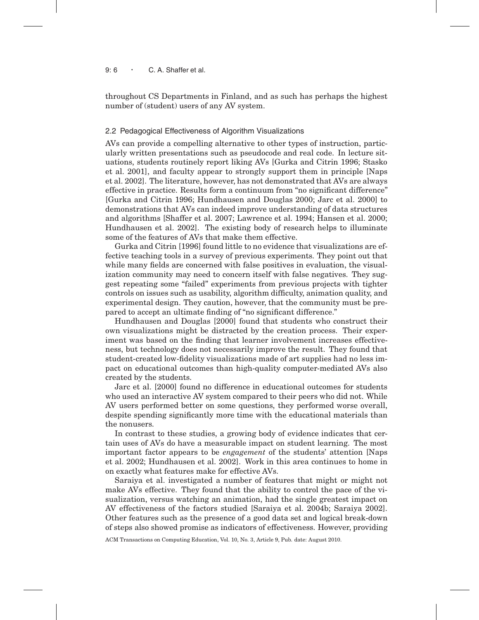9: 6 · C. A. Shaffer et al.

throughout CS Departments in Finland, and as such has perhaps the highest number of (student) users of any AV system.

## 2.2 Pedagogical Effectiveness of Algorithm Visualizations

AVs can provide a compelling alternative to other types of instruction, particularly written presentations such as pseudocode and real code. In lecture situations, students routinely report liking AVs [Gurka and Citrin 1996; Stasko et al. 2001], and faculty appear to strongly support them in principle [Naps et al. 2002]. The literature, however, has not demonstrated that AVs are always effective in practice. Results form a continuum from "no significant difference" [Gurka and Citrin 1996; Hundhausen and Douglas 2000; Jarc et al. 2000] to demonstrations that AVs can indeed improve understanding of data structures and algorithms [Shaffer et al. 2007; Lawrence et al. 1994; Hansen et al. 2000; Hundhausen et al. 2002]. The existing body of research helps to illuminate some of the features of AVs that make them effective.

Gurka and Citrin [1996] found little to no evidence that visualizations are effective teaching tools in a survey of previous experiments. They point out that while many fields are concerned with false positives in evaluation, the visualization community may need to concern itself with false negatives. They suggest repeating some "failed" experiments from previous projects with tighter controls on issues such as usability, algorithm difficulty, animation quality, and experimental design. They caution, however, that the community must be prepared to accept an ultimate finding of "no significant difference."

Hundhausen and Douglas [2000] found that students who construct their own visualizations might be distracted by the creation process. Their experiment was based on the finding that learner involvement increases effectiveness, but technology does not necessarily improve the result. They found that student-created low-fidelity visualizations made of art supplies had no less impact on educational outcomes than high-quality computer-mediated AVs also created by the students.

Jarc et al. [2000] found no difference in educational outcomes for students who used an interactive AV system compared to their peers who did not. While AV users performed better on some questions, they performed worse overall, despite spending significantly more time with the educational materials than the nonusers.

In contrast to these studies, a growing body of evidence indicates that certain uses of AVs do have a measurable impact on student learning. The most important factor appears to be *engagement* of the students' attention [Naps et al. 2002; Hundhausen et al. 2002]. Work in this area continues to home in on exactly what features make for effective AVs.

Saraiya et al. investigated a number of features that might or might not make AVs effective. They found that the ability to control the pace of the visualization, versus watching an animation, had the single greatest impact on AV effectiveness of the factors studied [Saraiya et al. 2004b; Saraiya 2002]. Other features such as the presence of a good data set and logical break-down of steps also showed promise as indicators of effectiveness. However, providing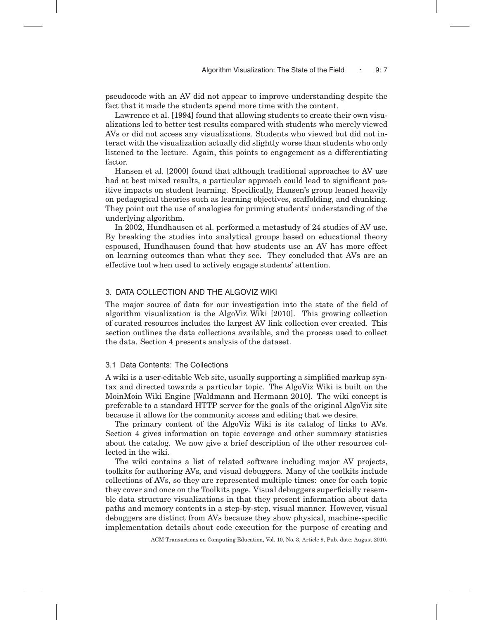pseudocode with an AV did not appear to improve understanding despite the fact that it made the students spend more time with the content.

Lawrence et al. [1994] found that allowing students to create their own visualizations led to better test results compared with students who merely viewed AVs or did not access any visualizations. Students who viewed but did not interact with the visualization actually did slightly worse than students who only listened to the lecture. Again, this points to engagement as a differentiating factor.

Hansen et al. [2000] found that although traditional approaches to AV use had at best mixed results, a particular approach could lead to significant positive impacts on student learning. Specifically, Hansen's group leaned heavily on pedagogical theories such as learning objectives, scaffolding, and chunking. They point out the use of analogies for priming students' understanding of the underlying algorithm.

In 2002, Hundhausen et al. performed a metastudy of 24 studies of AV use. By breaking the studies into analytical groups based on educational theory espoused, Hundhausen found that how students use an AV has more effect on learning outcomes than what they see. They concluded that AVs are an effective tool when used to actively engage students' attention.

# 3. DATA COLLECTION AND THE ALGOVIZ WIKI

The major source of data for our investigation into the state of the field of algorithm visualization is the AlgoViz Wiki [2010]. This growing collection of curated resources includes the largest AV link collection ever created. This section outlines the data collections available, and the process used to collect the data. Section 4 presents analysis of the dataset.

# 3.1 Data Contents: The Collections

A wiki is a user-editable Web site, usually supporting a simplified markup syntax and directed towards a particular topic. The AlgoViz Wiki is built on the MoinMoin Wiki Engine [Waldmann and Hermann 2010]. The wiki concept is preferable to a standard HTTP server for the goals of the original AlgoViz site because it allows for the community access and editing that we desire.

The primary content of the AlgoViz Wiki is its catalog of links to AVs. Section 4 gives information on topic coverage and other summary statistics about the catalog. We now give a brief description of the other resources collected in the wiki.

The wiki contains a list of related software including major AV projects, toolkits for authoring AVs, and visual debuggers. Many of the toolkits include collections of AVs, so they are represented multiple times: once for each topic they cover and once on the Toolkits page. Visual debuggers superficially resemble data structure visualizations in that they present information about data paths and memory contents in a step-by-step, visual manner. However, visual debuggers are distinct from AVs because they show physical, machine-specific implementation details about code execution for the purpose of creating and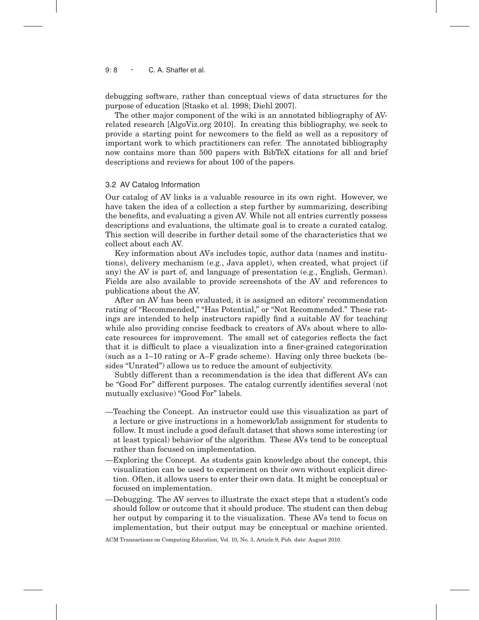## 9: 8 · C. A. Shaffer et al.

debugging software, rather than conceptual views of data structures for the purpose of education [Stasko et al. 1998; Diehl 2007].

The other major component of the wiki is an annotated bibliography of AVrelated research [AlgoViz.org 2010]. In creating this bibliography, we seek to provide a starting point for newcomers to the field as well as a repository of important work to which practitioners can refer. The annotated bibliography now contains more than 500 papers with BibTeX citations for all and brief descriptions and reviews for about 100 of the papers.

#### 3.2 AV Catalog Information

Our catalog of AV links is a valuable resource in its own right. However, we have taken the idea of a collection a step further by summarizing, describing the benefits, and evaluating a given AV. While not all entries currently possess descriptions and evaluations, the ultimate goal is to create a curated catalog. This section will describe in further detail some of the characteristics that we collect about each AV.

Key information about AVs includes topic, author data (names and institutions), delivery mechanism (e.g., Java applet), when created, what project (if any) the AV is part of, and language of presentation (e.g., English, German). Fields are also available to provide screenshots of the AV and references to publications about the AV.

After an AV has been evaluated, it is assigned an editors' recommendation rating of "Recommended," "Has Potential," or "Not Recommended." These ratings are intended to help instructors rapidly find a suitable AV for teaching while also providing concise feedback to creators of AVs about where to allocate resources for improvement. The small set of categories reflects the fact that it is difficult to place a visualization into a finer-grained categorization (such as a 1–10 rating or A–F grade scheme). Having only three buckets (besides "Unrated") allows us to reduce the amount of subjectivity.

Subtly different than a recommendation is the idea that different AVs can be "Good For" different purposes. The catalog currently identifies several (not mutually exclusive) "Good For" labels.

- —Teaching the Concept. An instructor could use this visualization as part of a lecture or give instructions in a homework/lab assignment for students to follow. It must include a good default dataset that shows some interesting (or at least typical) behavior of the algorithm. These AVs tend to be conceptual rather than focused on implementation.
- —Exploring the Concept. As students gain knowledge about the concept, this visualization can be used to experiment on their own without explicit direction. Often, it allows users to enter their own data. It might be conceptual or focused on implementation.
- —Debugging. The AV serves to illustrate the exact steps that a student's code should follow or outcome that it should produce. The student can then debug her output by comparing it to the visualization. These AVs tend to focus on implementation, but their output may be conceptual or machine oriented.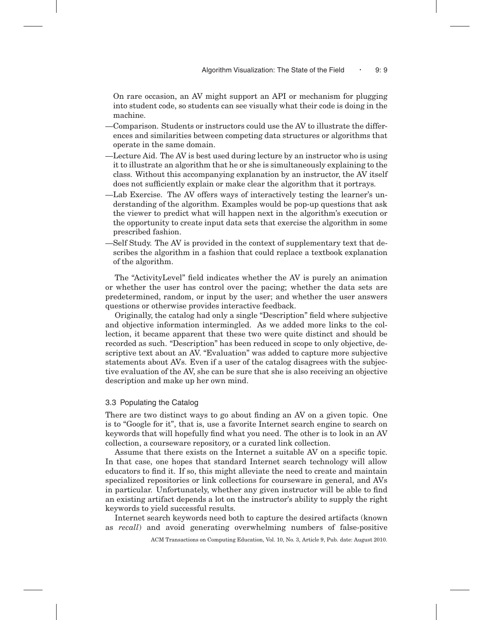On rare occasion, an AV might support an API or mechanism for plugging into student code, so students can see visually what their code is doing in the machine.

- —Comparison. Students or instructors could use the AV to illustrate the differences and similarities between competing data structures or algorithms that operate in the same domain.
- —Lecture Aid. The AV is best used during lecture by an instructor who is using it to illustrate an algorithm that he or she is simultaneously explaining to the class. Without this accompanying explanation by an instructor, the AV itself does not sufficiently explain or make clear the algorithm that it portrays.
- —Lab Exercise. The AV offers ways of interactively testing the learner's understanding of the algorithm. Examples would be pop-up questions that ask the viewer to predict what will happen next in the algorithm's execution or the opportunity to create input data sets that exercise the algorithm in some prescribed fashion.
- —Self Study. The AV is provided in the context of supplementary text that describes the algorithm in a fashion that could replace a textbook explanation of the algorithm.

The "ActivityLevel" field indicates whether the AV is purely an animation or whether the user has control over the pacing; whether the data sets are predetermined, random, or input by the user; and whether the user answers questions or otherwise provides interactive feedback.

Originally, the catalog had only a single "Description" field where subjective and objective information intermingled. As we added more links to the collection, it became apparent that these two were quite distinct and should be recorded as such. "Description" has been reduced in scope to only objective, descriptive text about an AV. "Evaluation" was added to capture more subjective statements about AVs. Even if a user of the catalog disagrees with the subjective evaluation of the AV, she can be sure that she is also receiving an objective description and make up her own mind.

#### 3.3 Populating the Catalog

There are two distinct ways to go about finding an AV on a given topic. One is to "Google for it", that is, use a favorite Internet search engine to search on keywords that will hopefully find what you need. The other is to look in an AV collection, a courseware repository, or a curated link collection.

Assume that there exists on the Internet a suitable AV on a specific topic. In that case, one hopes that standard Internet search technology will allow educators to find it. If so, this might alleviate the need to create and maintain specialized repositories or link collections for courseware in general, and AVs in particular. Unfortunately, whether any given instructor will be able to find an existing artifact depends a lot on the instructor's ability to supply the right keywords to yield successful results.

Internet search keywords need both to capture the desired artifacts (known as *recall*) and avoid generating overwhelming numbers of false-positive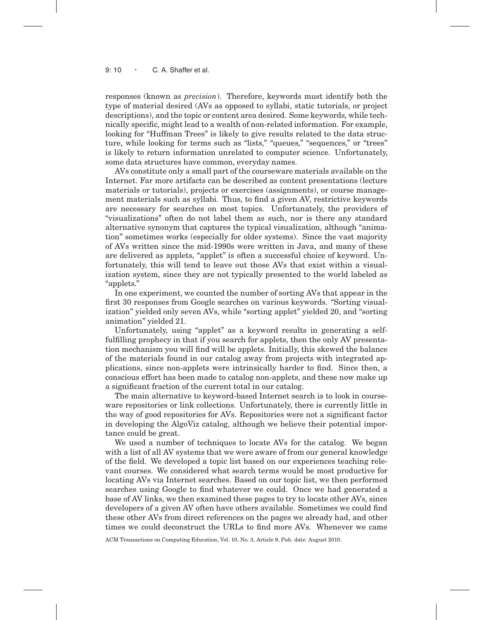## 9:  $10 \cdot C$ . A. Shaffer et al.

responses (known as *precision*). Therefore, keywords must identify both the type of material desired (AVs as opposed to syllabi, static tutorials, or project descriptions), and the topic or content area desired. Some keywords, while technically specific, might lead to a wealth of non-related information. For example, looking for "Huffman Trees" is likely to give results related to the data structure, while looking for terms such as "lists," "queues," "sequences," or "trees" is likely to return information unrelated to computer science. Unfortunately, some data structures have common, everyday names.

AVs constitute only a small part of the courseware materials available on the Internet. Far more artifacts can be described as content presentations (lecture materials or tutorials), projects or exercises (assignments), or course management materials such as syllabi. Thus, to find a given AV, restrictive keywords are necessary for searches on most topics. Unfortunately, the providers of "visualizations" often do not label them as such, nor is there any standard alternative synonym that captures the typical visualization, although "animation" sometimes works (especially for older systems). Since the vast majority of AVs written since the mid-1990s were written in Java, and many of these are delivered as applets, "applet" is often a successful choice of keyword. Unfortunately, this will tend to leave out those AVs that exist within a visualization system, since they are not typically presented to the world labeled as "applets."

In one experiment, we counted the number of sorting AVs that appear in the first 30 responses from Google searches on various keywords. "Sorting visualization" yielded only seven AVs, while "sorting applet" yielded 20, and "sorting animation" yielded 21.

Unfortunately, using "applet" as a keyword results in generating a selffulfilling prophecy in that if you search for applets, then the only AV presentation mechanism you will find will be applets. Initially, this skewed the balance of the materials found in our catalog away from projects with integrated applications, since non-applets were intrinsically harder to find. Since then, a conscious effort has been made to catalog non-applets, and these now make up a significant fraction of the current total in our catalog.

The main alternative to keyword-based Internet search is to look in courseware repositories or link collections. Unfortunately, there is currently little in the way of good repositories for AVs. Repositories were not a significant factor in developing the AlgoViz catalog, although we believe their potential importance could be great.

We used a number of techniques to locate AVs for the catalog. We began with a list of all AV systems that we were aware of from our general knowledge of the field. We developed a topic list based on our experiences teaching relevant courses. We considered what search terms would be most productive for locating AVs via Internet searches. Based on our topic list, we then performed searches using Google to find whatever we could. Once we had generated a base of AV links, we then examined these pages to try to locate other AVs, since developers of a given AV often have others available. Sometimes we could find these other AVs from direct references on the pages we already had, and other times we could deconstruct the URLs to find more AVs. Whenever we came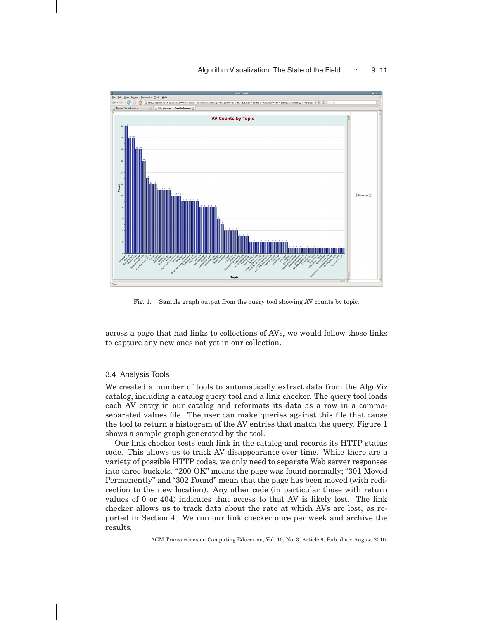

Fig. 1. Sample graph output from the query tool showing AV counts by topic.

across a page that had links to collections of AVs, we would follow those links to capture any new ones not yet in our collection.

## 3.4 Analysis Tools

We created a number of tools to automatically extract data from the AlgoViz catalog, including a catalog query tool and a link checker. The query tool loads each AV entry in our catalog and reformats its data as a row in a commaseparated values file. The user can make queries against this file that cause the tool to return a histogram of the AV entries that match the query. Figure 1 shows a sample graph generated by the tool.

Our link checker tests each link in the catalog and records its HTTP status code. This allows us to track AV disappearance over time. While there are a variety of possible HTTP codes, we only need to separate Web server responses into three buckets. "200 OK" means the page was found normally; "301 Moved Permanently" and "302 Found" mean that the page has been moved (with redirection to the new location). Any other code (in particular those with return values of 0 or 404) indicates that access to that AV is likely lost. The link checker allows us to track data about the rate at which AVs are lost, as reported in Section 4. We run our link checker once per week and archive the results.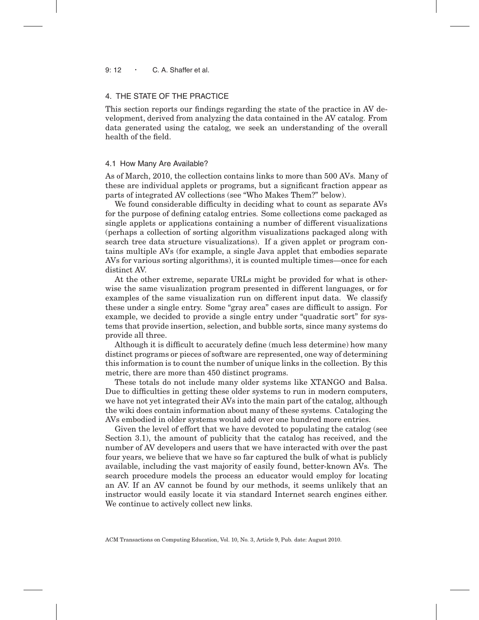# 4. THE STATE OF THE PRACTICE

This section reports our findings regarding the state of the practice in AV development, derived from analyzing the data contained in the AV catalog. From data generated using the catalog, we seek an understanding of the overall health of the field.

## 4.1 How Many Are Available?

As of March, 2010, the collection contains links to more than 500 AVs. Many of these are individual applets or programs, but a significant fraction appear as parts of integrated AV collections (see "Who Makes Them?" below).

We found considerable difficulty in deciding what to count as separate AVs for the purpose of defining catalog entries. Some collections come packaged as single applets or applications containing a number of different visualizations (perhaps a collection of sorting algorithm visualizations packaged along with search tree data structure visualizations). If a given applet or program contains multiple AVs (for example, a single Java applet that embodies separate AVs for various sorting algorithms), it is counted multiple times—once for each distinct AV.

At the other extreme, separate URLs might be provided for what is otherwise the same visualization program presented in different languages, or for examples of the same visualization run on different input data. We classify these under a single entry. Some "gray area" cases are difficult to assign. For example, we decided to provide a single entry under "quadratic sort" for systems that provide insertion, selection, and bubble sorts, since many systems do provide all three.

Although it is difficult to accurately define (much less determine) how many distinct programs or pieces of software are represented, one way of determining this information is to count the number of unique links in the collection. By this metric, there are more than 450 distinct programs.

These totals do not include many older systems like XTANGO and Balsa. Due to difficulties in getting these older systems to run in modern computers, we have not yet integrated their AVs into the main part of the catalog, although the wiki does contain information about many of these systems. Cataloging the AVs embodied in older systems would add over one hundred more entries.

Given the level of effort that we have devoted to populating the catalog (see Section 3.1), the amount of publicity that the catalog has received, and the number of AV developers and users that we have interacted with over the past four years, we believe that we have so far captured the bulk of what is publicly available, including the vast majority of easily found, better-known AVs. The search procedure models the process an educator would employ for locating an AV. If an AV cannot be found by our methods, it seems unlikely that an instructor would easily locate it via standard Internet search engines either. We continue to actively collect new links.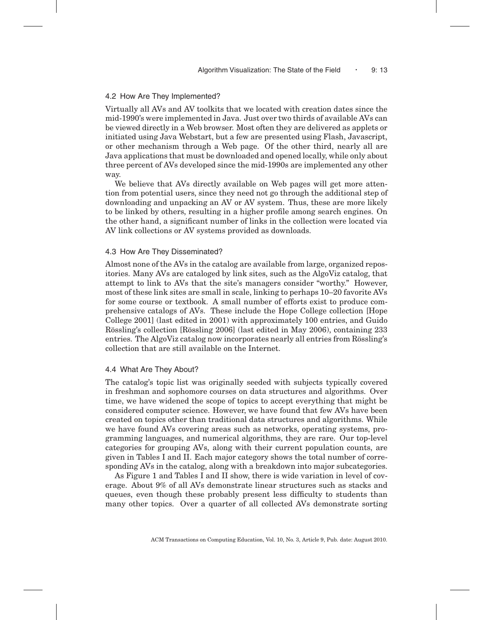#### 4.2 How Are They Implemented?

Virtually all AVs and AV toolkits that we located with creation dates since the mid-1990's were implemented in Java. Just over two thirds of available AVs can be viewed directly in a Web browser. Most often they are delivered as applets or initiated using Java Webstart, but a few are presented using Flash, Javascript, or other mechanism through a Web page. Of the other third, nearly all are Java applications that must be downloaded and opened locally, while only about three percent of AVs developed since the mid-1990s are implemented any other way.

We believe that AVs directly available on Web pages will get more attention from potential users, since they need not go through the additional step of downloading and unpacking an AV or AV system. Thus, these are more likely to be linked by others, resulting in a higher profile among search engines. On the other hand, a significant number of links in the collection were located via AV link collections or AV systems provided as downloads.

#### 4.3 How Are They Disseminated?

Almost none of the AVs in the catalog are available from large, organized repositories. Many AVs are cataloged by link sites, such as the AlgoViz catalog, that attempt to link to AVs that the site's managers consider "worthy." However, most of these link sites are small in scale, linking to perhaps 10–20 favorite AVs for some course or textbook. A small number of efforts exist to produce comprehensive catalogs of AVs. These include the Hope College collection [Hope College 2001] (last edited in 2001) with approximately 100 entries, and Guido Rössling's collection [Rössling 2006] (last edited in May 2006), containing 233 entries. The AlgoViz catalog now incorporates nearly all entries from Rössling's collection that are still available on the Internet.

#### 4.4 What Are They About?

The catalog's topic list was originally seeded with subjects typically covered in freshman and sophomore courses on data structures and algorithms. Over time, we have widened the scope of topics to accept everything that might be considered computer science. However, we have found that few AVs have been created on topics other than traditional data structures and algorithms. While we have found AVs covering areas such as networks, operating systems, programming languages, and numerical algorithms, they are rare. Our top-level categories for grouping AVs, along with their current population counts, are given in Tables I and II. Each major category shows the total number of corresponding AVs in the catalog, along with a breakdown into major subcategories.

As Figure 1 and Tables I and II show, there is wide variation in level of coverage. About 9% of all AVs demonstrate linear structures such as stacks and queues, even though these probably present less difficulty to students than many other topics. Over a quarter of all collected AVs demonstrate sorting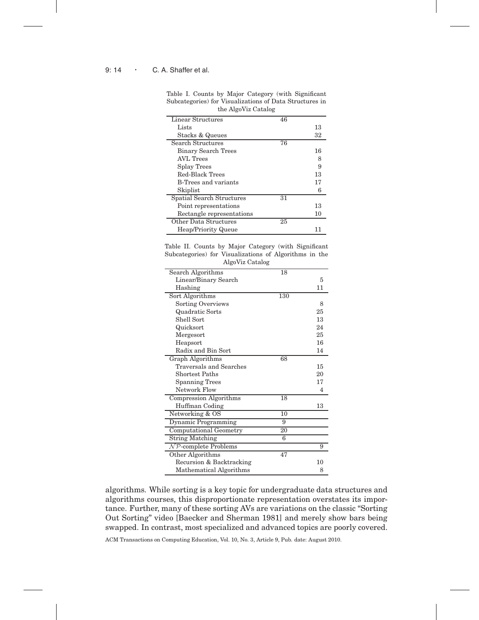# 9: 14 · C. A. Shaffer et al.

| the Algoviz Catalog        |    |    |
|----------------------------|----|----|
| Linear Structures          | 46 |    |
| Lists                      |    | 13 |
| Stacks & Queues            |    | 32 |
| <b>Search Structures</b>   | 76 |    |
| <b>Binary Search Trees</b> |    | 16 |
| AVL Trees                  |    | 8  |
| <b>Splay Trees</b>         |    | 9  |
| Red-Black Trees            |    | 13 |
| B-Trees and variants       |    | 17 |
| Skiplist                   |    | 6  |
| Spatial Search Structures  | 31 |    |
| Point representations      |    | 13 |
| Rectangle representations  |    | 10 |
| Other Data Structures      | 25 |    |
| <b>Heap/Priority Queue</b> |    | 11 |

Table I. Counts by Major Category (with Significant Subcategories) for Visualizations of Data Structures in the AlgoViz Catalog

|  |  |                 |  | Table II. Counts by Major Category (with Significant   |  |  |
|--|--|-----------------|--|--------------------------------------------------------|--|--|
|  |  |                 |  | Subcategories) for Visualizations of Algorithms in the |  |  |
|  |  | AlgoViz Catalog |  |                                                        |  |  |

| Search Algorithms                 | 18  |    |
|-----------------------------------|-----|----|
| Linear/Binary Search              |     | 5  |
| Hashing                           |     | 11 |
| Sort Algorithms                   | 130 |    |
| <b>Sorting Overviews</b>          |     | 8  |
| Quadratic Sorts                   |     | 25 |
| Shell Sort                        |     | 13 |
| Quicksort                         |     | 24 |
| Mergesort                         |     | 25 |
| Heapsort                          |     | 16 |
| Radix and Bin Sort                |     | 14 |
| Graph Algorithms                  | 68  |    |
| Traversals and Searches           |     | 15 |
| Shortest Paths                    |     | 20 |
| Spanning Trees                    |     | 17 |
| Network Flow                      |     | 4  |
| Compression Algorithms            | 18  |    |
| Huffman Coding                    |     | 13 |
| Networking & OS                   | 10  |    |
| Dynamic Programming               | 9   |    |
| <b>Computational Geometry</b>     | 20  |    |
| <b>String Matching</b>            | 6   |    |
| $\mathcal{NP}$ -complete Problems |     | 9  |
| Other Algorithms                  | 47  |    |
| Recursion & Backtracking          |     | 10 |
| Mathematical Algorithms           |     | 8  |

algorithms. While sorting is a key topic for undergraduate data structures and algorithms courses, this disproportionate representation overstates its importance. Further, many of these sorting AVs are variations on the classic "Sorting Out Sorting" video [Baecker and Sherman 1981] and merely show bars being swapped. In contrast, most specialized and advanced topics are poorly covered.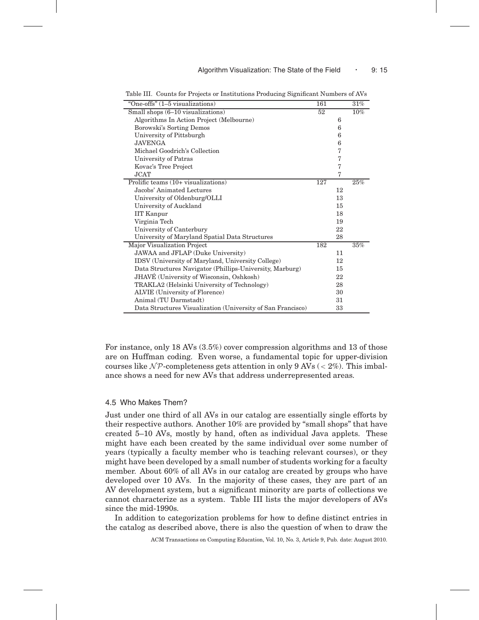#### Algorithm Visualization: The State of the Field  $\cdot$  9: 15

| "One-offs" (1-5 visualizations)                             | 161 |    | 31%    |
|-------------------------------------------------------------|-----|----|--------|
| Small shops (6-10 visualizations)                           | 52  |    | $10\%$ |
| Algorithms In Action Project (Melbourne)                    |     | 6  |        |
| Borowski's Sorting Demos                                    |     | 6  |        |
| University of Pittsburgh                                    |     | 6  |        |
| <b>JAVENGA</b>                                              |     | 6  |        |
| Michael Goodrich's Collection                               |     | 7  |        |
| University of Patras                                        |     | 7  |        |
| Kovac's Tree Project                                        |     | 7  |        |
| <b>JCAT</b>                                                 |     | 7  |        |
| Prolific teams (10+ visualizations)                         | 127 |    | 25%    |
| Jacobs' Animated Lectures                                   |     | 12 |        |
| University of Oldenburg/OLLI                                |     | 13 |        |
| University of Auckland                                      |     | 15 |        |
| <b>IIT</b> Kanpur                                           |     | 18 |        |
| Virginia Tech                                               |     | 19 |        |
| University of Canterbury                                    |     | 22 |        |
| University of Maryland Spatial Data Structures              |     | 28 |        |
| Major Visualization Project                                 | 182 |    | 35%    |
| JAWAA and JFLAP (Duke University)                           |     | 11 |        |
| <b>IDSV</b> (University of Maryland, University College)    |     | 12 |        |
| Data Structures Navigator (Phillips-University, Marburg)    |     | 15 |        |
| JHAVÉ (University of Wisconsin, Oshkosh)                    |     | 22 |        |
| TRAKLA2 (Helsinki University of Technology)                 |     | 28 |        |
| ALVIE (University of Florence)                              |     | 30 |        |
| Animal (TU Darmstadt)                                       |     | 31 |        |
| Data Structures Visualization (University of San Francisco) |     | 33 |        |

Table III. Counts for Projects or Institutions Producing Significant Numbers of AVs

For instance, only 18 AVs (3*.*5%) cover compression algorithms and 13 of those are on Huffman coding. Even worse, a fundamental topic for upper-division courses like *N P*-completeness gets attention in only 9 AVs (*<* 2%). This imbalance shows a need for new AVs that address underrepresented areas.

#### 4.5 Who Makes Them?

Just under one third of all AVs in our catalog are essentially single efforts by their respective authors. Another 10% are provided by "small shops" that have created 5–10 AVs, mostly by hand, often as individual Java applets. These might have each been created by the same individual over some number of years (typically a faculty member who is teaching relevant courses), or they might have been developed by a small number of students working for a faculty member. About 60% of all AVs in our catalog are created by groups who have developed over 10 AVs. In the majority of these cases, they are part of an AV development system, but a significant minority are parts of collections we cannot characterize as a system. Table III lists the major developers of AVs since the mid-1990s.

In addition to categorization problems for how to define distinct entries in the catalog as described above, there is also the question of when to draw the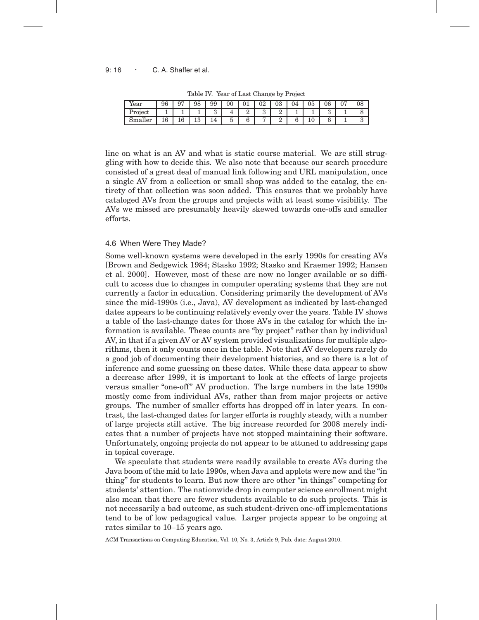| Year    | 96 |    | 98       | 99            | $^{00}$    |   | 02     | ÷<br>03       | 04 | 05 | 06     | ሰ7<br>ັ | 08 |
|---------|----|----|----------|---------------|------------|---|--------|---------------|----|----|--------|---------|----|
| Project |    |    |          | $\Omega$<br>ບ |            | ↵ | ົ<br>ບ | $\Omega$<br>▃ |    |    | ິ<br>υ |         |    |
| Smaller | 16 | 16 | 19<br>⊥∪ | 14            | $\tilde{}$ | 6 | −      | ົ             |    |    | ◠      |         |    |

Table IV. Year of Last Change by Project

line on what is an AV and what is static course material. We are still struggling with how to decide this. We also note that because our search procedure consisted of a great deal of manual link following and URL manipulation, once a single AV from a collection or small shop was added to the catalog, the entirety of that collection was soon added. This ensures that we probably have cataloged AVs from the groups and projects with at least some visibility. The AVs we missed are presumably heavily skewed towards one-offs and smaller efforts.

#### 4.6 When Were They Made?

Some well-known systems were developed in the early 1990s for creating AVs [Brown and Sedgewick 1984; Stasko 1992; Stasko and Kraemer 1992; Hansen et al. 2000]. However, most of these are now no longer available or so difficult to access due to changes in computer operating systems that they are not currently a factor in education. Considering primarily the development of AVs since the mid-1990s (i.e., Java), AV development as indicated by last-changed dates appears to be continuing relatively evenly over the years. Table IV shows a table of the last-change dates for those AVs in the catalog for which the information is available. These counts are "by project" rather than by individual AV, in that if a given AV or AV system provided visualizations for multiple algorithms, then it only counts once in the table. Note that AV developers rarely do a good job of documenting their development histories, and so there is a lot of inference and some guessing on these dates. While these data appear to show a decrease after 1999, it is important to look at the effects of large projects versus smaller "one-off" AV production. The large numbers in the late 1990s mostly come from individual AVs, rather than from major projects or active groups. The number of smaller efforts has dropped off in later years. In contrast, the last-changed dates for larger efforts is roughly steady, with a number of large projects still active. The big increase recorded for 2008 merely indicates that a number of projects have not stopped maintaining their software. Unfortunately, ongoing projects do not appear to be attuned to addressing gaps in topical coverage.

We speculate that students were readily available to create AVs during the Java boom of the mid to late 1990s, when Java and applets were new and the "in thing" for students to learn. But now there are other "in things" competing for students' attention. The nationwide drop in computer science enrollment might also mean that there are fewer students available to do such projects. This is not necessarily a bad outcome, as such student-driven one-off implementations tend to be of low pedagogical value. Larger projects appear to be ongoing at rates similar to 10–15 years ago.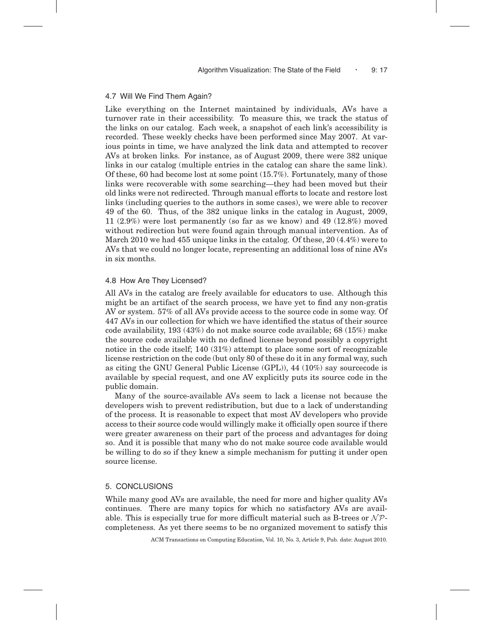## 4.7 Will We Find Them Again?

Like everything on the Internet maintained by individuals, AVs have a turnover rate in their accessibility. To measure this, we track the status of the links on our catalog. Each week, a snapshot of each link's accessibility is recorded. These weekly checks have been performed since May 2007. At various points in time, we have analyzed the link data and attempted to recover AVs at broken links. For instance, as of August 2009, there were 382 unique links in our catalog (multiple entries in the catalog can share the same link). Of these, 60 had become lost at some point (15.7%). Fortunately, many of those links were recoverable with some searching—they had been moved but their old links were not redirected. Through manual efforts to locate and restore lost links (including queries to the authors in some cases), we were able to recover 49 of the 60. Thus, of the 382 unique links in the catalog in August, 2009, 11 (2.9%) were lost permanently (so far as we know) and 49 (12.8%) moved without redirection but were found again through manual intervention. As of March 2010 we had 455 unique links in the catalog. Of these, 20 (4.4%) were to AVs that we could no longer locate, representing an additional loss of nine AVs in six months.

## 4.8 How Are They Licensed?

All AVs in the catalog are freely available for educators to use. Although this might be an artifact of the search process, we have yet to find any non-gratis AV or system. 57% of all AVs provide access to the source code in some way. Of 447 AVs in our collection for which we have identified the status of their source code availability, 193 (43%) do not make source code available; 68 (15%) make the source code available with no defined license beyond possibly a copyright notice in the code itself; 140 (31%) attempt to place some sort of recognizable license restriction on the code (but only 80 of these do it in any formal way, such as citing the GNU General Public License (GPL)), 44 (10%) say sourcecode is available by special request, and one AV explicitly puts its source code in the public domain.

Many of the source-available AVs seem to lack a license not because the developers wish to prevent redistribution, but due to a lack of understanding of the process. It is reasonable to expect that most AV developers who provide access to their source code would willingly make it officially open source if there were greater awareness on their part of the process and advantages for doing so. And it is possible that many who do not make source code available would be willing to do so if they knew a simple mechanism for putting it under open source license.

## 5. CONCLUSIONS

While many good AVs are available, the need for more and higher quality AVs continues. There are many topics for which no satisfactory AVs are available. This is especially true for more difficult material such as B-trees or  $N\mathcal{P}$ completeness. As yet there seems to be no organized movement to satisfy this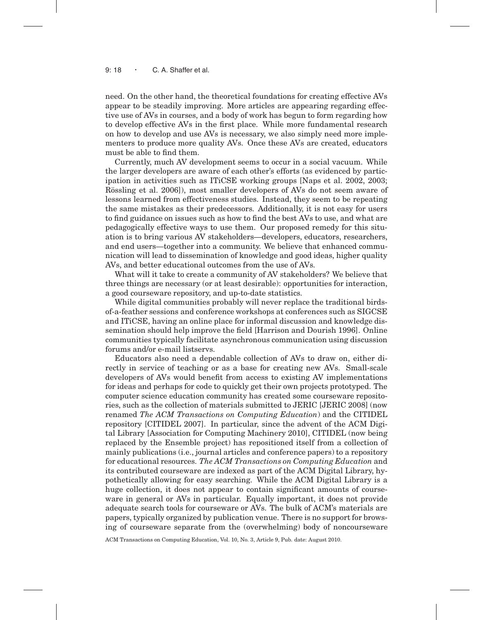need. On the other hand, the theoretical foundations for creating effective AVs appear to be steadily improving. More articles are appearing regarding effective use of AVs in courses, and a body of work has begun to form regarding how to develop effective AVs in the first place. While more fundamental research on how to develop and use AVs is necessary, we also simply need more implementers to produce more quality AVs. Once these AVs are created, educators must be able to find them.

Currently, much AV development seems to occur in a social vacuum. While the larger developers are aware of each other's efforts (as evidenced by participation in activities such as ITiCSE working groups [Naps et al. 2002, 2003; Rössling et al. 2006]), most smaller developers of AVs do not seem aware of lessons learned from effectiveness studies. Instead, they seem to be repeating the same mistakes as their predecessors. Additionally, it is not easy for users to find guidance on issues such as how to find the best AVs to use, and what are pedagogically effective ways to use them. Our proposed remedy for this situation is to bring various AV stakeholders—developers, educators, researchers, and end users—together into a community. We believe that enhanced communication will lead to dissemination of knowledge and good ideas, higher quality AVs, and better educational outcomes from the use of AVs.

What will it take to create a community of AV stakeholders? We believe that three things are necessary (or at least desirable): opportunities for interaction, a good courseware repository, and up-to-date statistics.

While digital communities probably will never replace the traditional birdsof-a-feather sessions and conference workshops at conferences such as SIGCSE and ITiCSE, having an online place for informal discussion and knowledge dissemination should help improve the field [Harrison and Dourish 1996]. Online communities typically facilitate asynchronous communication using discussion forums and/or e-mail listservs.

Educators also need a dependable collection of AVs to draw on, either directly in service of teaching or as a base for creating new AVs. Small-scale developers of AVs would benefit from access to existing AV implementations for ideas and perhaps for code to quickly get their own projects prototyped. The computer science education community has created some courseware repositories, such as the collection of materials submitted to JERIC [JERIC 2008] (now renamed *The ACM Transactions on Computing Education*) and the CITIDEL repository [CITIDEL 2007]. In particular, since the advent of the ACM Digital Library [Association for Computing Machinery 2010], CITIDEL (now being replaced by the Ensemble project) has repositioned itself from a collection of mainly publications (i.e., journal articles and conference papers) to a repository for educational resources. *The ACM Transactions on Computing Education* and its contributed courseware are indexed as part of the ACM Digital Library, hypothetically allowing for easy searching. While the ACM Digital Library is a huge collection, it does not appear to contain significant amounts of courseware in general or AVs in particular. Equally important, it does not provide adequate search tools for courseware or AVs. The bulk of ACM's materials are papers, typically organized by publication venue. There is no support for browsing of courseware separate from the (overwhelming) body of noncourseware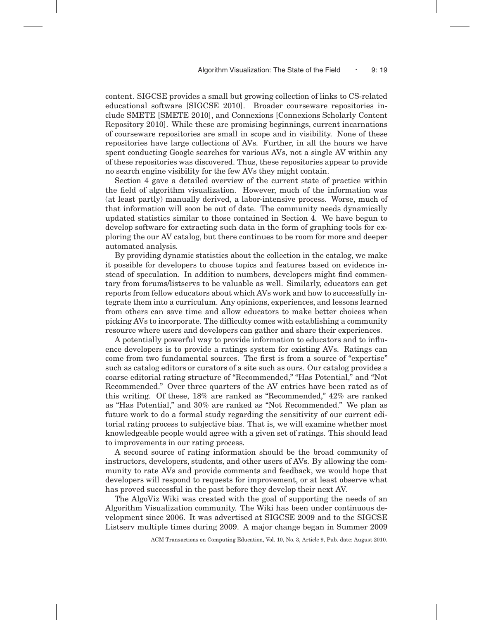content. SIGCSE provides a small but growing collection of links to CS-related educational software [SIGCSE 2010]. Broader courseware repositories include SMETE [SMETE 2010], and Connexions [Connexions Scholarly Content Repository 2010]. While these are promising beginnings, current incarnations of courseware repositories are small in scope and in visibility. None of these repositories have large collections of AVs. Further, in all the hours we have spent conducting Google searches for various AVs, not a single AV within any of these repositories was discovered. Thus, these repositories appear to provide no search engine visibility for the few AVs they might contain.

Section 4 gave a detailed overview of the current state of practice within the field of algorithm visualization. However, much of the information was (at least partly) manually derived, a labor-intensive process. Worse, much of that information will soon be out of date. The community needs dynamically updated statistics similar to those contained in Section 4. We have begun to develop software for extracting such data in the form of graphing tools for exploring the our AV catalog, but there continues to be room for more and deeper automated analysis.

By providing dynamic statistics about the collection in the catalog, we make it possible for developers to choose topics and features based on evidence instead of speculation. In addition to numbers, developers might find commentary from forums/listservs to be valuable as well. Similarly, educators can get reports from fellow educators about which AVs work and how to successfully integrate them into a curriculum. Any opinions, experiences, and lessons learned from others can save time and allow educators to make better choices when picking AVs to incorporate. The difficulty comes with establishing a community resource where users and developers can gather and share their experiences.

A potentially powerful way to provide information to educators and to influence developers is to provide a ratings system for existing AVs. Ratings can come from two fundamental sources. The first is from a source of "expertise" such as catalog editors or curators of a site such as ours. Our catalog provides a coarse editorial rating structure of "Recommended," "Has Potential," and "Not Recommended." Over three quarters of the AV entries have been rated as of this writing. Of these, 18% are ranked as "Recommended," 42% are ranked as "Has Potential," and 30% are ranked as "Not Recommended." We plan as future work to do a formal study regarding the sensitivity of our current editorial rating process to subjective bias. That is, we will examine whether most knowledgeable people would agree with a given set of ratings. This should lead to improvements in our rating process.

A second source of rating information should be the broad community of instructors, developers, students, and other users of AVs. By allowing the community to rate AVs and provide comments and feedback, we would hope that developers will respond to requests for improvement, or at least observe what has proved successful in the past before they develop their next AV.

The AlgoViz Wiki was created with the goal of supporting the needs of an Algorithm Visualization community. The Wiki has been under continuous development since 2006. It was advertised at SIGCSE 2009 and to the SIGCSE Listserv multiple times during 2009. A major change began in Summer 2009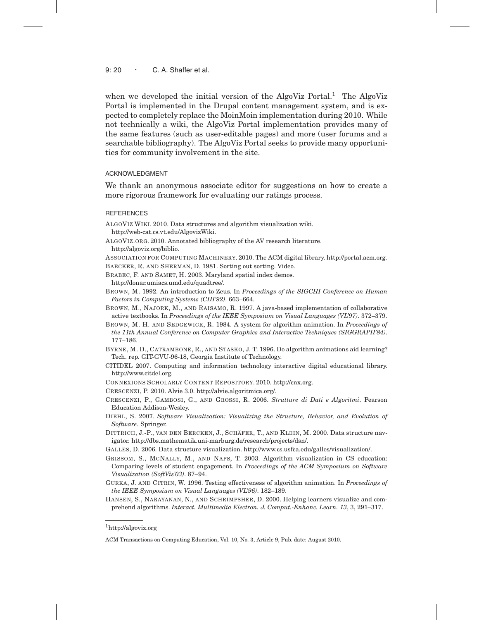## $9: 20 \cdot \cdot \cdot$  C. A. Shaffer et al.

when we developed the initial version of the AlgoViz Portal.<sup>1</sup> The AlgoViz Portal is implemented in the Drupal content management system, and is expected to completely replace the MoinMoin implementation during 2010. While not technically a wiki, the AlgoViz Portal implementation provides many of the same features (such as user-editable pages) and more (user forums and a searchable bibliography). The AlgoViz Portal seeks to provide many opportunities for community involvement in the site.

## ACKNOWLEDGMENT

We thank an anonymous associate editor for suggestions on how to create a more rigorous framework for evaluating our ratings process.

#### **REFERENCES**

- ALGOVIZ WIKI. 2010. Data structures and algorithm visualization wiki. http://web-cat.cs.vt.edu/AlgovizWiki.
- ALGOVIZ.ORG. 2010. Annotated bibliography of the AV research literature. http://algoviz.org/biblio.
- ASSOCIATION FOR COMPUTING MACHINERY. 2010. The ACM digital library. http://portal.acm.org. BAECKER, R. AND SHERMAN, D. 1981. Sorting out sorting. Video.
- BRABEC, F. AND SAMET, H. 2003. Maryland spatial index demos.

http://donar.umiacs.umd.edu/quadtree/.

- BROWN, M. 1992. An introduction to Zeus. In *Proceedings of the SIGCHI Conference on Human Factors in Computing Systems (CHI'92)*. 663–664.
- BROWN, M., NAJORK, M., AND RAISAMO, R. 1997. A java-based implementation of collaborative active textbooks. In *Proceedings of the IEEE Symposium on Visual Languages (VL'97)*. 372–379.
- BROWN, M. H. AND SEDGEWICK, R. 1984. A system for algorithm animation. In *Proceedings of the 11th Annual Conference on Computer Graphics and Interactive Techniques (SIGGRAPH'84)*. 177–186.
- BYRNE, M. D., CATRAMBONE, R., AND STASKO, J. T. 1996. Do algorithm animations aid learning? Tech. rep. GIT-GVU-96-18, Georgia Institute of Technology.
- CITIDEL 2007. Computing and information technology interactive digital educational library. http://www.citdel.org.
- CONNEXIONS SCHOLARLY CONTENT REPOSITORY. 2010. http://cnx.org.
- CRESCENZI, P. 2010. Alvie 3.0. http://alvie.algoritmica.org/.
- CRESCENZI, P., GAMBOSI, G., AND GROSSI, R. 2006. *Strutture di Dati e Algoritmi*. Pearson Education Addison-Wesley.
- DIEHL, S. 2007. *Software Visualization: Visualizing the Structure, Behavior, and Evolution of Software*. Springer.
- DITTRICH, J.-P., VAN DEN BERCKEN, J., SCHÄFER, T., AND KLEIN, M. 2000. Data structure navigator. http://dbs.mathematik.uni-marburg.de/research/projects/dsn/.
- GALLES, D. 2006. Data structure visualization. http://www.cs.usfca.edu/galles/visualization/.
- GRISSOM, S., MCNALLY, M., AND NAPS, T. 2003. Algorithm visualization in CS education: Comparing levels of student engagement. In *Proceedings of the ACM Symposium on Software Visualization (SoftVis'03)*. 87–94.
- GURKA, J. AND CITRIN, W. 1996. Testing effectiveness of algorithm animation. In *Proceedings of the IEEE Symposium on Visual Languages (VL'96)*. 182–189.
- HANSEN, S., NARAYANAN, N., AND SCHRIMPSHER, D. 2000. Helping learners visualize and comprehend algorithms. *Interact. Multimedia Electron. J. Comput.-Enhanc. Learn. 13*, 3, 291–317.

<sup>1</sup>http://algoviz.org

ACM Transactions on Computing Education, Vol. 10, No. 3, Article 9, Pub. date: August 2010.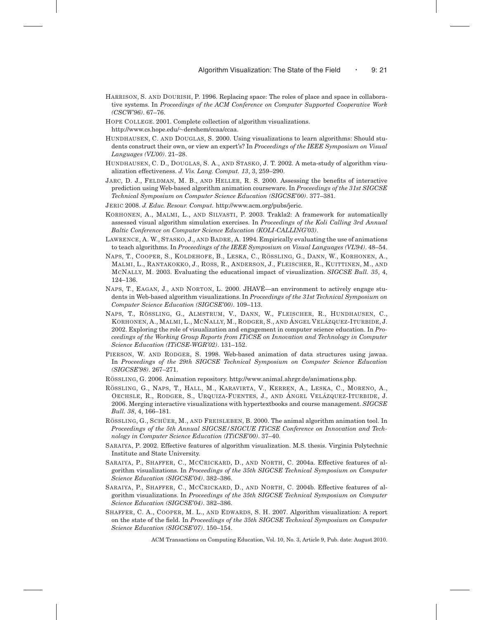- HARRISON, S. AND DOURISH, P. 1996. Replacing space: The roles of place and space in collaborative systems. In *Proceedings of the ACM Conference on Computer Supported Cooperative Work (CSCW'96)*. 67–76.
- HOPE COLLEGE. 2001. Complete collection of algorithm visualizations. http://www.cs.hope.edu/∼dershem/ccaa/ccaa.
- HUNDHAUSEN, C. AND DOUGLAS, S. 2000. Using visualizations to learn algorithms: Should students construct their own, or view an expert's? In *Proceedings of the IEEE Symposium on Visual Languages (VL'00)*. 21–28.
- HUNDHAUSEN, C. D., DOUGLAS, S. A., AND STASKO, J. T. 2002. A meta-study of algorithm visualization effectiveness. *J. Vis. Lang. Comput. 13*, 3, 259–290.
- JARC, D. J., FELDMAN, M. B., AND HELLER, R. S. 2000. Assessing the benefits of interactive prediction using Web-based algorithm animation courseware. In *Proceedings of the 31st SIGCSE Technical Symposium on Computer Science Education (SIGCSE'00)*. 377–381.
- JERIC 2008. *J. Educ. Resour. Comput.* http://www.acm.org/pubs/jeric.
- KORHONEN, A., MALMI, L., AND SILVASTI, P. 2003. Trakla2: A framework for automatically assessed visual algorithm simulation exercises. In *Proceedings of the Koli Calling 3rd Annual Baltic Conference on Computer Science Education (KOLI-CALLING'03)*.
- LAWRENCE, A. W., STASKO, J., AND BADRE, A. 1994. Empirically evaluating the use of animations to teach algorithms. In *Proceedings of the IEEE Symposium on Visual Languages (VL'94)*. 48–54.
- NAPS, T., COOPER, S., KOLDEHOFE, B., LESKA, C., RÖSSLING, G., DANN, W., KORHONEN, A., MALMI, L., RANTAKOKKO, J., ROSS, R., ANDERSON, J., FLEISCHER, R., KUITTINEN, M., AND MCNALLY, M. 2003. Evaluating the educational impact of visualization. *SIGCSE Bull. 35*, 4, 124–136.
- NAPS, T., EAGAN, J., AND NORTON, L. 2000. JHAVE—an environment to actively engage stu- ´ dents in Web-based algorithm visualizations. In *Proceedings of the 31st Technical Symposium on Computer Science Education (SIGCSE'00)*. 109–113.
- NAPS, T., RÖSSLING, G., ALMSTRUM, V., DANN, W., FLEISCHER, R., HUNDHAUSEN, C., KORHONEN, A., MALMI, L., MCNALLY, M., RODGER, S., AND ANGEL VELAZQUEZ-ITURBIDE, J. 2002. Exploring the role of visualization and engagement in computer science education. In *Proceedings of the Working Group Reports from ITiCSE on Innovation and Technology in Computer Science Education (ITiCSE-WGR'02)*. 131–152.
- PIERSON, W. AND RODGER, S. 1998. Web-based animation of data structures using jawaa. In *Proceedings of the 29th SIGCSE Technical Symposium on Computer Science Education (SIGCSE'98)*. 267–271.
- RÖSSLING, G. 2006. Animation repository. http://www.animal.ahrgr.de/animations.php.
- RÖSSLING, G., NAPS, T., HALL, M., KARAVIRTA, V., KERREN, A., LESKA, C., MORENO, A., OECHSLE, R., RODGER, S., URQUIZA-FUENTES, J., AND ANGEL VELÁZQUEZ-ITURBIDE, J. 2006. Merging interactive visualizations with hypertextbooks and course management. *SIGCSE Bull. 38*, 4, 166–181.
- RÖSSLING, G., SCHÜER, M., AND FREISLEBEN, B. 2000. The animal algorithm animation tool. In *Proceedings of the 5th Annual SIGCSE/SIGCUE ITiCSE Conference on Innovation and Technology in Computer Science Education (ITiCSE'00)*. 37–40.
- SARAIYA, P. 2002. Effective features of algorithm visualization. M.S. thesis. Virginia Polytechnic Institute and State University.
- SARAIYA, P., SHAFFER, C., MCCRICKARD, D., AND NORTH, C. 2004a. Effective features of algorithm visualizations. In *Proceedings of the 35th SIGCSE Technical Symposium on Computer Science Education (SIGCSE'04)*. 382–386.
- SARAIYA, P., SHAFFER, C., MCCRICKARD, D., AND NORTH, C. 2004b. Effective features of algorithm visualizations. In *Proceedings of the 35th SIGCSE Technical Symposium on Computer Science Education (SIGCSE'04)*. 382–386.
- SHAFFER, C. A., COOPER, M. L., AND EDWARDS, S. H. 2007. Algorithm visualization: A report on the state of the field. In *Proceedings of the 35th SIGCSE Technical Symposium on Computer Science Education (SIGCSE'07)*. 150–154.